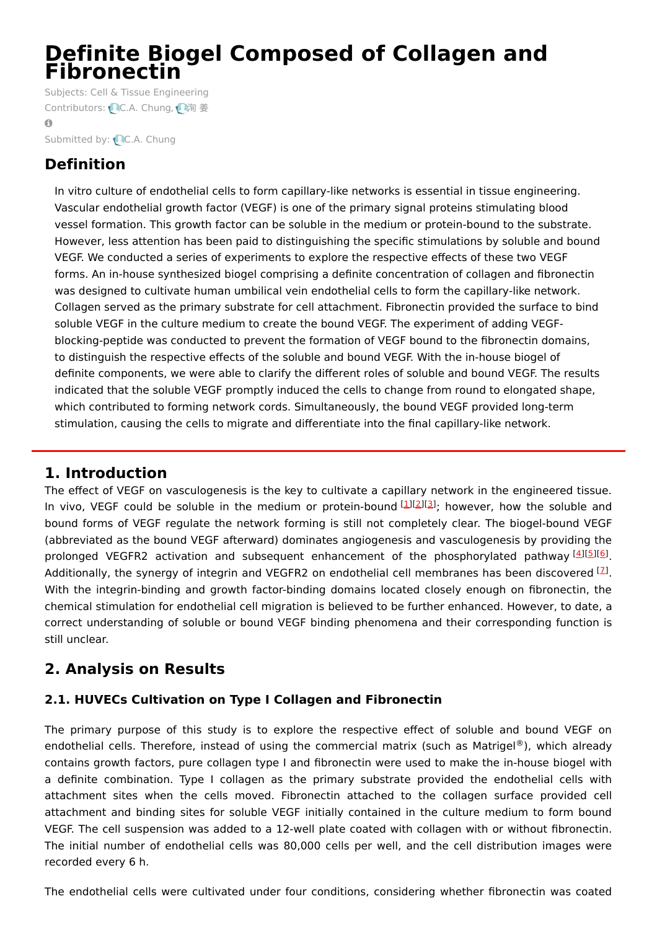# **Definite Biogel Composed of Collagen and Fibronectin**

Subjects: Cell & Tissue [Engineering](https://encyclopedia.pub/item/subject/196) Contributors: CC.A. [Chung](https://sciprofiles.com/profile/1640862), 心[洵](https://sciprofiles.com/profile/1870316)姜  $\Omega$ Submitted by: C.A. [Chung](https://sciprofiles.com/profile/1640862)

## **Definition**

In vitro culture of endothelial cells to form capillary-like networks is essential in tissue engineering. Vascular endothelial growth factor (VEGF) is one of the primary signal proteins stimulating blood vessel formation. This growth factor can be soluble in the medium or protein-bound to the substrate. However, less attention has been paid to distinguishing the specific stimulations by soluble and bound VEGF. We conducted a series of experiments to explore the respective effects of these two VEGF forms. An in-house synthesized biogel comprising a definite concentration of collagen and fibronectin was designed to cultivate human umbilical vein endothelial cells to form the capillary-like network. Collagen served as the primary substrate for cell attachment. Fibronectin provided the surface to bind soluble VEGF in the culture medium to create the bound VEGF. The experiment of adding VEGFblocking-peptide was conducted to prevent the formation of VEGF bound to the fibronectin domains, to distinguish the respective effects of the soluble and bound VEGF. With the in-house biogel of definite components, we were able to clarify the different roles of soluble and bound VEGF. The results indicated that the soluble VEGF promptly induced the cells to change from round to elongated shape, which contributed to forming network cords. Simultaneously, the bound VEGF provided long-term stimulation, causing the cells to migrate and differentiate into the final capillary-like network.

### **1. Introduction**

The effect of VEGF on vasculogenesis is the key to cultivate a capillary network in the engineered tissue. In vivo, VEGF could be soluble in the medium or protein-bound [\[1](#page-4-0)][\[2](#page-4-1)][\[3](#page-5-0)]; however, how the soluble and bound forms of VEGF regulate the network forming is still not completely clear. The biogel-bound VEGF (abbreviated as the bound VEGF afterward) dominates angiogenesis and vasculogenesis by providing the prolonged VEGFR2 activation and subsequent enhancement of the phosphorylated pathway [\[4](#page-5-1)][\[5](#page-5-2)][\[6](#page-5-3)]. Additionally, the synergy of integrin and VEGFR2 on endothelial cell membranes has been discovered  $^{[2]}$ . With the integrin-binding and growth factor-binding domains located closely enough on fibronectin, the chemical stimulation for endothelial cell migration is believed to be further enhanced. However, to date, a correct understanding of soluble or bound VEGF binding phenomena and their corresponding function is still unclear.

## **2. Analysis on Results**

### **2.1. HUVECs Cultivation on Type I Collagen and Fibronectin**

The primary purpose of this study is to explore the respective effect of soluble and bound VEGF on endothelial cells. Therefore, instead of using the commercial matrix (such as Matrigel®), which already contains growth factors, pure collagen type I and fibronectin were used to make the in-house biogel with a definite combination. Type I collagen as the primary substrate provided the endothelial cells with attachment sites when the cells moved. Fibronectin attached to the collagen surface provided cell attachment and binding sites for soluble VEGF initially contained in the culture medium to form bound VEGF. The cell suspension was added to a 12-well plate coated with collagen with or without fibronectin. The initial number of endothelial cells was 80,000 cells per well, and the cell distribution images were recorded every 6 h.

The endothelial cells were cultivated under four conditions, considering whether fibronectin was coated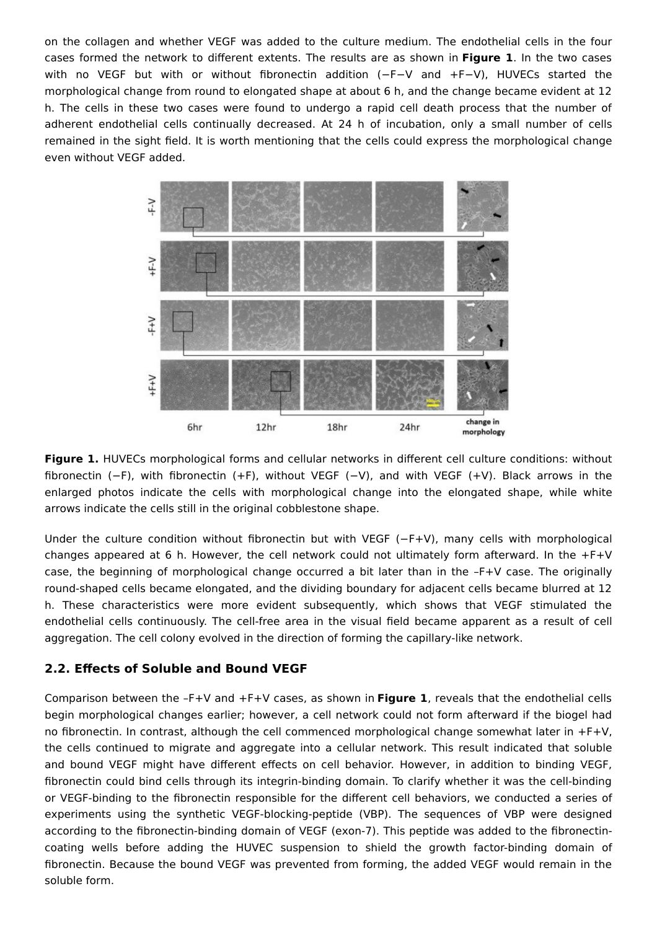on the collagen and whether VEGF was added to the culture medium. The endothelial cells in the four cases formed the network to different extents. The results are as shown in **Figure 1**. In the two cases with no VEGF but with or without fibronectin addition (−F−V and +F−V), HUVECs started the morphological change from round to elongated shape at about 6 h, and the change became evident at 12 h. The cells in these two cases were found to undergo a rapid cell death process that the number of adherent endothelial cells continually decreased. At 24 h of incubation, only a small number of cells remained in the sight field. It is worth mentioning that the cells could express the morphological change even without VEGF added.



**Figure 1.** HUVECs morphological forms and cellular networks in different cell culture conditions: without fibronectin (−F), with fibronectin (+F), without VEGF (−V), and with VEGF (+V). Black arrows in the enlarged photos indicate the cells with morphological change into the elongated shape, while white arrows indicate the cells still in the original cobblestone shape.

Under the culture condition without fibronectin but with VEGF (−F+V), many cells with morphological changes appeared at 6 h. However, the cell network could not ultimately form afterward. In the +F+V case, the beginning of morphological change occurred a bit later than in the –F+V case. The originally round-shaped cells became elongated, and the dividing boundary for adjacent cells became blurred at 12 h. These characteristics were more evident subsequently, which shows that VEGF stimulated the endothelial cells continuously. The cell-free area in the visual field became apparent as a result of cell aggregation. The cell colony evolved in the direction of forming the capillary-like network.

#### **2.2. Effects of Soluble and Bound VEGF**

Comparison between the –F+V and +F+V cases, as shown in **Figure 1**, reveals that the endothelial cells begin morphological changes earlier; however, a cell network could not form afterward if the biogel had no fibronectin. In contrast, although the cell commenced morphological change somewhat later in +F+V, the cells continued to migrate and aggregate into a cellular network. This result indicated that soluble and bound VEGF might have different effects on cell behavior. However, in addition to binding VEGF, fibronectin could bind cells through its integrin-binding domain. To clarify whether it was the cell-binding or VEGF-binding to the fibronectin responsible for the different cell behaviors, we conducted a series of experiments using the synthetic VEGF-blocking-peptide (VBP). The sequences of VBP were designed according to the fibronectin-binding domain of VEGF (exon-7). This peptide was added to the fibronectincoating wells before adding the HUVEC suspension to shield the growth factor-binding domain of fibronectin. Because the bound VEGF was prevented from forming, the added VEGF would remain in the soluble form.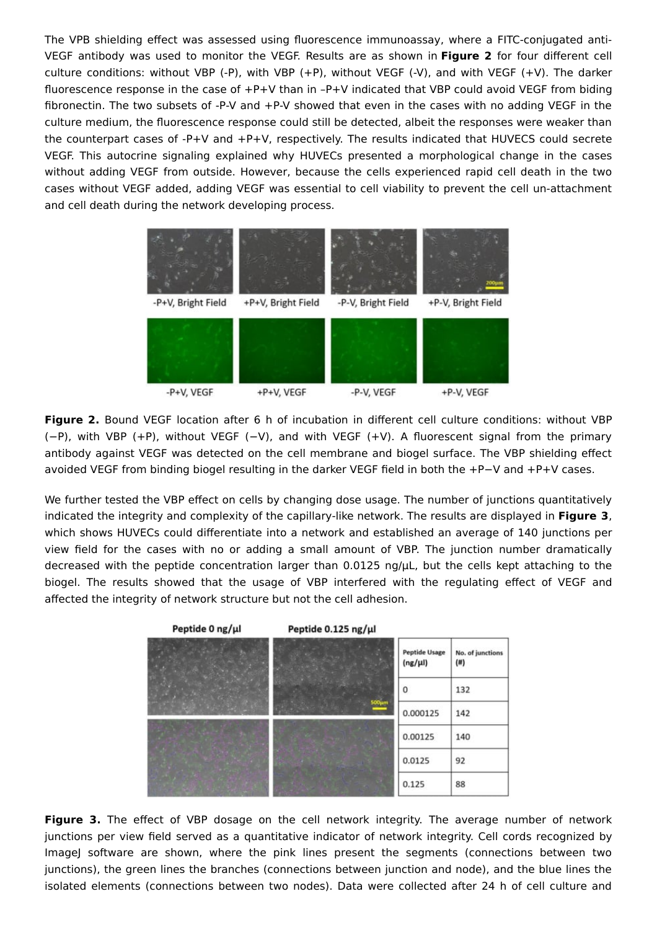The VPB shielding effect was assessed using fluorescence immunoassay, where a FITC-conjugated anti-VEGF antibody was used to monitor the VEGF. Results are as shown in **Figure 2** for four different cell culture conditions: without VBP (-P), with VBP (+P), without VEGF (-V), and with VEGF (+V). The darker fluorescence response in the case of +P+V than in –P+V indicated that VBP could avoid VEGF from biding fibronectin. The two subsets of -P-V and +P-V showed that even in the cases with no adding VEGF in the culture medium, the fluorescence response could still be detected, albeit the responses were weaker than the counterpart cases of -P+V and +P+V, respectively. The results indicated that HUVECS could secrete VEGF. This autocrine signaling explained why HUVECs presented a morphological change in the cases without adding VEGF from outside. However, because the cells experienced rapid cell death in the two cases without VEGF added, adding VEGF was essential to cell viability to prevent the cell un-attachment and cell death during the network developing process.



**Figure 2.** Bound VEGF location after 6 h of incubation in different cell culture conditions: without VBP (−P), with VBP (+P), without VEGF (−V), and with VEGF (+V). A fluorescent signal from the primary antibody against VEGF was detected on the cell membrane and biogel surface. The VBP shielding effect avoided VEGF from binding biogel resulting in the darker VEGF field in both the +P−V and +P+V cases.

We further tested the VBP effect on cells by changing dose usage. The number of junctions quantitatively indicated the integrity and complexity of the capillary-like network. The results are displayed in **Figure 3**, which shows HUVECs could differentiate into a network and established an average of 140 junctions per view field for the cases with no or adding a small amount of VBP. The junction number dramatically decreased with the peptide concentration larger than 0.0125 ng/μL, but the cells kept attaching to the biogel. The results showed that the usage of VBP interfered with the regulating effect of VEGF and affected the integrity of network structure but not the cell adhesion.



**Figure 3.** The effect of VBP dosage on the cell network integrity. The average number of network junctions per view field served as a quantitative indicator of network integrity. Cell cords recognized by ImageJ software are shown, where the pink lines present the segments (connections between two junctions), the green lines the branches (connections between junction and node), and the blue lines the isolated elements (connections between two nodes). Data were collected after 24 h of cell culture and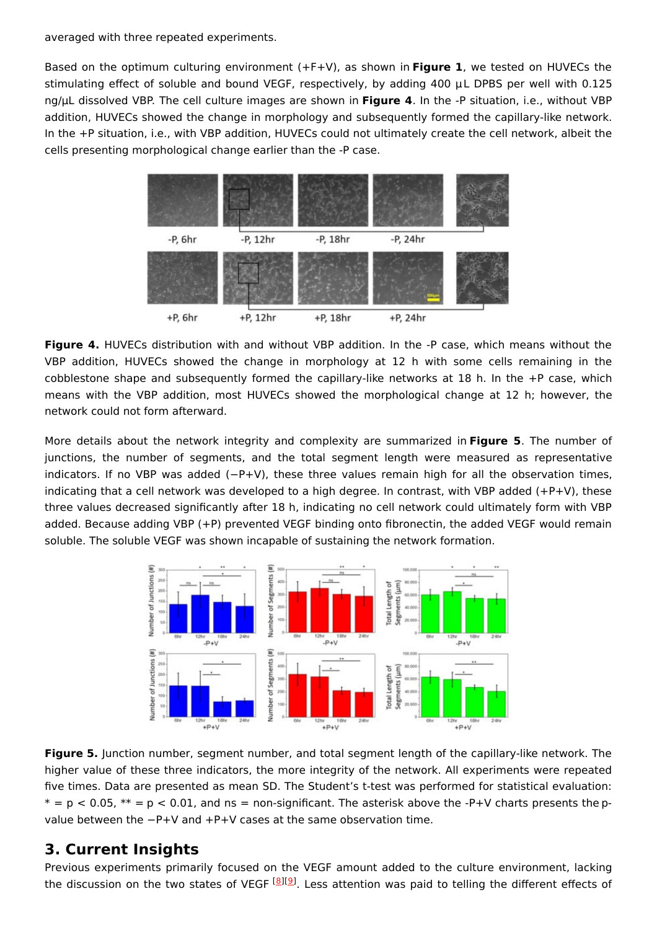averaged with three repeated experiments.

Based on the optimum culturing environment (+F+V), as shown in **Figure 1**, we tested on HUVECs the stimulating effect of soluble and bound VEGF, respectively, by adding 400 μL DPBS per well with 0.125 ng/μL dissolved VBP. The cell culture images are shown in **Figure 4**. In the -P situation, i.e., without VBP addition, HUVECs showed the change in morphology and subsequently formed the capillary-like network. In the +P situation, i.e., with VBP addition, HUVECs could not ultimately create the cell network, albeit the cells presenting morphological change earlier than the -P case.



**Figure 4.** HUVECs distribution with and without VBP addition. In the -P case, which means without the VBP addition, HUVECs showed the change in morphology at 12 h with some cells remaining in the cobblestone shape and subsequently formed the capillary-like networks at 18 h. In the +P case, which means with the VBP addition, most HUVECs showed the morphological change at 12 h; however, the network could not form afterward.

More details about the network integrity and complexity are summarized in **Figure 5**. The number of junctions, the number of segments, and the total segment length were measured as representative indicators. If no VBP was added (−P+V), these three values remain high for all the observation times, indicating that a cell network was developed to a high degree. In contrast, with VBP added (+P+V), these three values decreased significantly after 18 h, indicating no cell network could ultimately form with VBP added. Because adding VBP (+P) prevented VEGF binding onto fibronectin, the added VEGF would remain soluble. The soluble VEGF was shown incapable of sustaining the network formation.



**Figure 5.** Junction number, segment number, and total segment length of the capillary-like network. The higher value of these three indicators, the more integrity of the network. All experiments were repeated five times. Data are presented as mean SD. The Student's t-test was performed for statistical evaluation:  $* = p < 0.05$ ,  $** = p < 0.01$ , and ns = non-significant. The asterisk above the -P+V charts presents the pvalue between the −P+V and +P+V cases at the same observation time.

### **3. Current Insights**

Previous experiments primarily focused on the VEGF amount added to the culture environment, lacking the discussion on the two states of VEGF <sup>[<u>[8](#page-5-5)][\[9](#page-5-6)</u>]. Less attention was paid to telling the different effects of</sup>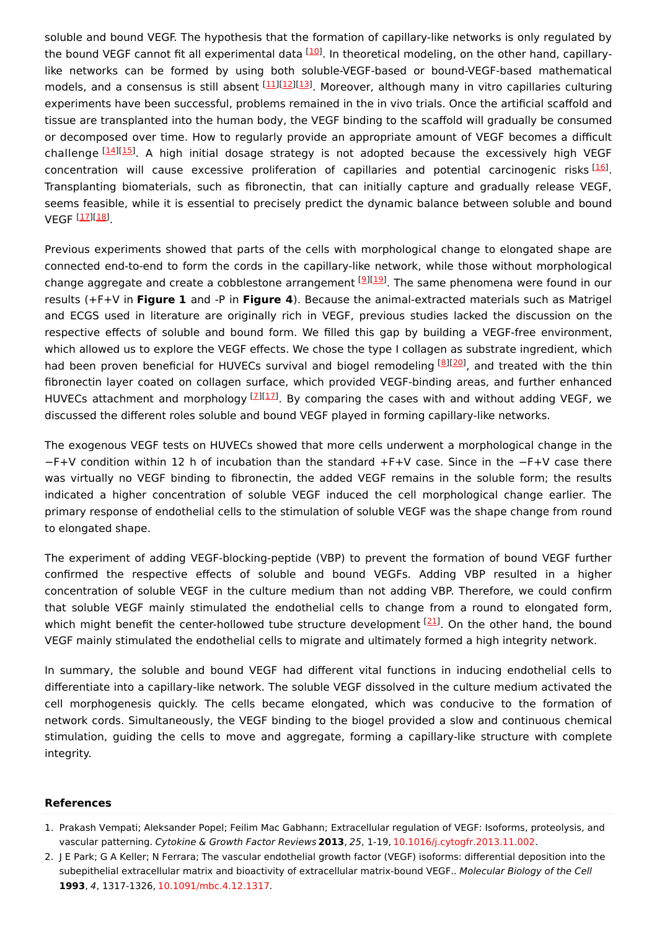soluble and bound VEGF. The hypothesis that the formation of capillary-like networks is only regulated by the bound VEGF cannot fit all experimental data <sup>[[10\]](#page-5-7)</sup>. In theoretical modeling, on the other hand, capillarylike networks can be formed by using both soluble-VEGF-based or bound-VEGF-based mathematical models, and a consensus is still absent [[11\]](#page-5-8)[[12\]](#page-5-9)[[13\]](#page-5-10). Moreover, although many in vitro capillaries culturing experiments have been successful, problems remained in the in vivo trials. Once the artificial scaffold and tissue are transplanted into the human body, the VEGF binding to the scaffold will gradually be consumed or decomposed over time. How to regularly provide an appropriate amount of VEGF becomes a difficult challenge [\[14](#page-5-11)][\[15](#page-5-12)]. A high initial dosage strategy is not adopted because the excessively high VEGF concentration will cause excessive proliferation of capillaries and potential carcinogenic risks <a>[\[16](#page-5-13)]</a>. Transplanting biomaterials, such as fibronectin, that can initially capture and gradually release VEGF, seems feasible, while it is essential to precisely predict the dynamic balance between soluble and bound VEGF <sup>[<u>17][\[18](#page-5-15)]</u></sup>

Previous experiments showed that parts of the cells with morphological change to elongated shape are connected end-to-end to form the cords in the capillary-like network, while those without morphological change aggregate and create a cobblestone arrangement <sup>[\[9](#page-5-6)][[19](#page-5-16)]</sup>. The same phenomena were found in our results (+F+V in **Figure 1** and -P in **Figure 4**). Because the animal-extracted materials such as Matrigel and ECGS used in literature are originally rich in VEGF, previous studies lacked the discussion on the respective effects of soluble and bound form. We filled this gap by building a VEGF-free environment, which allowed us to explore the VEGF effects. We chose the type I collagen as substrate ingredient, which had been proven beneficial for HUVECs survival and biogel remodeling [\[8](#page-5-5)][[20](#page-5-17)], and treated with the thin fibronectin layer coated on collagen surface, which provided VEGF-binding areas, and further enhanced HUVECs attachment and morphology  $^{[2][11]}$ . By comparing the cases with and without adding VEGF, we discussed the different roles soluble and bound VEGF played in forming capillary-like networks.

The exogenous VEGF tests on HUVECs showed that more cells underwent a morphological change in the −F+V condition within 12 h of incubation than the standard +F+V case. Since in the −F+V case there was virtually no VEGF binding to fibronectin, the added VEGF remains in the soluble form; the results indicated a higher concentration of soluble VEGF induced the cell morphological change earlier. The primary response of endothelial cells to the stimulation of soluble VEGF was the shape change from round to elongated shape.

The experiment of adding VEGF-blocking-peptide (VBP) to prevent the formation of bound VEGF further confirmed the respective effects of soluble and bound VEGFs. Adding VBP resulted in a higher concentration of soluble VEGF in the culture medium than not adding VBP. Therefore, we could confirm that soluble VEGF mainly stimulated the endothelial cells to change from a round to elongated form, which might benefit the center-hollowed tube structure development [\[21](#page-5-18)]. On the other hand, the bound VEGF mainly stimulated the endothelial cells to migrate and ultimately formed a high integrity network.

In summary, the soluble and bound VEGF had different vital functions in inducing endothelial cells to differentiate into a capillary-like network. The soluble VEGF dissolved in the culture medium activated the cell morphogenesis quickly. The cells became elongated, which was conducive to the formation of network cords. Simultaneously, the VEGF binding to the biogel provided a slow and continuous chemical stimulation, guiding the cells to move and aggregate, forming a capillary-like structure with complete integrity.

#### **References**

<span id="page-4-0"></span><sup>1.</sup> Prakash Vempati; Aleksander Popel; Feilim Mac Gabhann; Extracellular regulation of VEGF: Isoforms, proteolysis, and vascular patterning. Cytokine & Growth Factor Reviews **2013**, 25, 1-19, [10.1016/j.cytogfr.2013.11.002](http://doi.org/10.1016/j.cytogfr.2013.11.002).

<span id="page-4-1"></span><sup>2.</sup> J E Park; G A Keller; N Ferrara; The vascular endothelial growth factor (VEGF) isoforms: differential deposition into the subepithelial extracellular matrix and bioactivity of extracellular matrix-bound VEGF.. Molecular Biology of the Cell **1993**, 4, 1317-1326, [10.1091/mbc.4.12.1317](http://doi.org/10.1091/mbc.4.12.1317).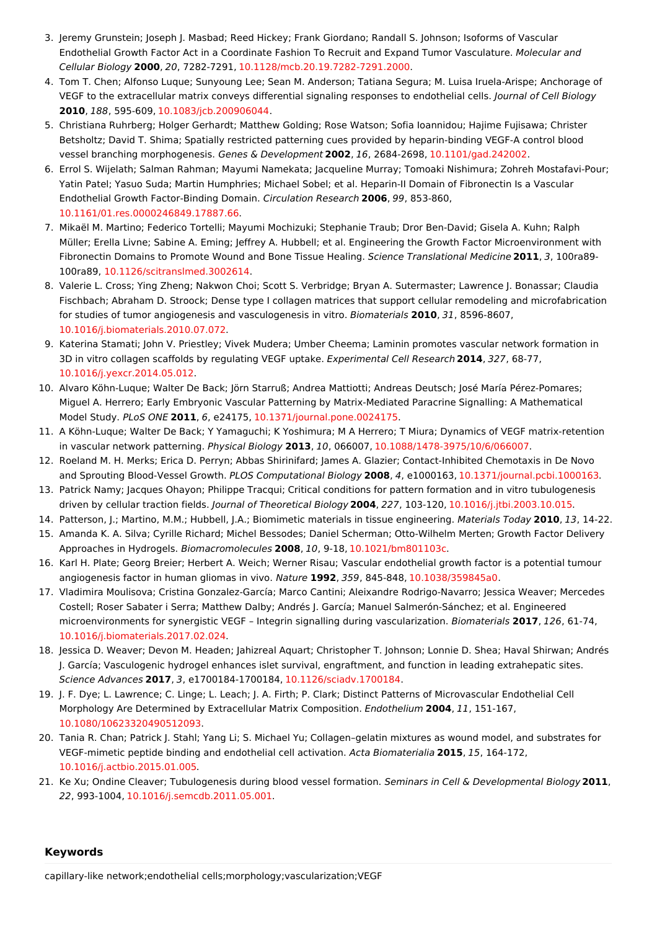- <span id="page-5-0"></span>3. Jeremy Grunstein; Joseph J. Masbad; Reed Hickey; Frank Giordano; Randall S. Johnson; Isoforms of Vascular Endothelial Growth Factor Act in a Coordinate Fashion To Recruit and Expand Tumor Vasculature. Molecular and Cellular Biology **2000**, 20, 7282-7291, [10.1128/mcb.20.19.7282-7291.2000](http://doi.org/10.1128/mcb.20.19.7282-7291.2000).
- <span id="page-5-1"></span>4. Tom T. Chen; Alfonso Luque; Sunyoung Lee; Sean M. Anderson; Tatiana Segura; M. Luisa Iruela-Arispe; Anchorage of VEGF to the extracellular matrix conveys differential signaling responses to endothelial cells. Journal of Cell Biology **2010**, 188, 595-609, [10.1083/jcb.200906044](http://doi.org/10.1083/jcb.200906044).
- <span id="page-5-2"></span>5. Christiana Ruhrberg; Holger Gerhardt; Matthew Golding; Rose Watson; Sofia Ioannidou; Hajime Fujisawa; Christer Betsholtz; David T. Shima; Spatially restricted patterning cues provided by heparin-binding VEGF-A control blood vessel branching morphogenesis. Genes & Development **2002**, 16, 2684-2698, [10.1101/gad.242002](http://doi.org/10.1101/gad.242002).
- <span id="page-5-3"></span>6. Errol S. Wijelath; Salman Rahman; Mayumi Namekata; Jacqueline Murray; Tomoaki Nishimura; Zohreh Mostafavi-Pour; Yatin Patel; Yasuo Suda; Martin Humphries; Michael Sobel; et al. Heparin-II Domain of Fibronectin Is a Vascular Endothelial Growth Factor-Binding Domain. Circulation Research **2006**, 99, 853-860, [10.1161/01.res.0000246849.17887.66](http://doi.org/10.1161/01.res.0000246849.17887.66).
- <span id="page-5-4"></span>7. Mikaël M. Martino; Federico Tortelli; Mayumi Mochizuki; Stephanie Traub; Dror Ben-David; Gisela A. Kuhn; Ralph Müller; Erella Livne; Sabine A. Eming; Jeffrey A. Hubbell; et al. Engineering the Growth Factor Microenvironment with Fibronectin Domains to Promote Wound and Bone Tissue Healing. Science Translational Medicine **2011**, 3, 100ra89- 100ra89, [10.1126/scitranslmed.3002614.](http://doi.org/10.1126/scitranslmed.3002614)
- <span id="page-5-5"></span>8. Valerie L. Cross; Ying Zheng; Nakwon Choi; Scott S. Verbridge; Bryan A. Sutermaster; Lawrence J. Bonassar; Claudia Fischbach; Abraham D. Stroock; Dense type I collagen matrices that support cellular remodeling and microfabrication for studies of tumor angiogenesis and vasculogenesis in vitro. Biomaterials **2010**, 31, 8596-8607, [10.1016/j.biomaterials.2010.07.072](http://doi.org/10.1016/j.biomaterials.2010.07.072).
- <span id="page-5-6"></span>9. Katerina Stamati; John V. Priestley; Vivek Mudera; Umber Cheema; Laminin promotes vascular network formation in 3D in vitro collagen scaffolds by regulating VEGF uptake. Experimental Cell Research **2014**, 327, 68-77, [10.1016/j.yexcr.2014.05.012](http://doi.org/10.1016/j.yexcr.2014.05.012).
- <span id="page-5-7"></span>10. Alvaro Köhn-Luque; Walter De Back; Jörn Starruß; Andrea Mattiotti; Andreas Deutsch; José María Pérez-Pomares; Miguel A. Herrero; Early Embryonic Vascular Patterning by Matrix-Mediated Paracrine Signalling: A Mathematical Model Study. PLoS ONE **2011**, 6, e24175, [10.1371/journal.pone.0024175](http://doi.org/10.1371/journal.pone.0024175).
- <span id="page-5-8"></span>11. A Köhn-Luque; Walter De Back; Y Yamaguchi; K Yoshimura; M A Herrero; T Miura; Dynamics of VEGF matrix-retention in vascular network patterning. Physical Biology **2013**, 10, 066007, [10.1088/1478-3975/10/6/066007](http://doi.org/10.1088/1478-3975/10/6/066007).
- <span id="page-5-9"></span>12. Roeland M. H. Merks; Erica D. Perryn; Abbas Shirinifard; James A. Glazier; Contact-Inhibited Chemotaxis in De Novo and Sprouting Blood-Vessel Growth. PLOS Computational Biology **2008**, 4, e1000163, [10.1371/journal.pcbi.1000163](http://doi.org/10.1371/journal.pcbi.1000163).
- <span id="page-5-10"></span>13. Patrick Namy; Jacques Ohayon; Philippe Tracqui; Critical conditions for pattern formation and in vitro tubulogenesis driven by cellular traction fields. Journal of Theoretical Biology **2004**, 227, 103-120, [10.1016/j.jtbi.2003.10.015](http://doi.org/10.1016/j.jtbi.2003.10.015).
- <span id="page-5-11"></span>14. Patterson, J.; Martino, M.M.; Hubbell, J.A.; Biomimetic materials in tissue engineering. Materials Today **2010**, 13, 14-22.
- <span id="page-5-12"></span>15. Amanda K. A. Silva; Cyrille Richard; Michel Bessodes; Daniel Scherman; Otto-Wilhelm Merten; Growth Factor Delivery Approaches in Hydrogels. Biomacromolecules **2008**, 10, 9-18, [10.1021/bm801103c](http://doi.org/10.1021/bm801103c).
- <span id="page-5-13"></span>16. Karl H. Plate; Georg Breier; Herbert A. Weich; Werner Risau; Vascular endothelial growth factor is a potential tumour angiogenesis factor in human gliomas in vivo. Nature **1992**, 359, 845-848, [10.1038/359845a0](http://doi.org/10.1038/359845a0).
- <span id="page-5-14"></span>17. Vladimira Moulisova; Cristina Gonzalez-García; Marco Cantini; Aleixandre Rodrigo-Navarro; Jessica Weaver; Mercedes Costell; Roser Sabater i Serra; Matthew Dalby; Andrés J. García; Manuel Salmerón-Sánchez; et al. Engineered microenvironments for synergistic VEGF – Integrin signalling during vascularization. Biomaterials **2017**, 126, 61-74, [10.1016/j.biomaterials.2017.02.024](http://doi.org/10.1016/j.biomaterials.2017.02.024).
- <span id="page-5-15"></span>18. Jessica D. Weaver; Devon M. Headen; Jahizreal Aquart; Christopher T. Johnson; Lonnie D. Shea; Haval Shirwan; Andrés J. García; Vasculogenic hydrogel enhances islet survival, engraftment, and function in leading extrahepatic sites. Science Advances **2017**, 3, e1700184-1700184, [10.1126/sciadv.1700184](http://doi.org/10.1126/sciadv.1700184).
- <span id="page-5-16"></span>19. J. F. Dye; L. Lawrence; C. Linge; L. Leach; J. A. Firth; P. Clark; Distinct Patterns of Microvascular Endothelial Cell Morphology Are Determined by Extracellular Matrix Composition. Endothelium **2004**, 11, 151-167, [10.1080/10623320490512093](http://doi.org/10.1080/10623320490512093).
- <span id="page-5-17"></span>20. Tania R. Chan; Patrick J. Stahl; Yang Li; S. Michael Yu; Collagen–gelatin mixtures as wound model, and substrates for VEGF-mimetic peptide binding and endothelial cell activation. Acta Biomaterialia **2015**, 15, 164-172, [10.1016/j.actbio.2015.01.005](http://doi.org/10.1016/j.actbio.2015.01.005).
- <span id="page-5-18"></span>21. Ke Xu; Ondine Cleaver; Tubulogenesis during blood vessel formation. Seminars in Cell & Developmental Biology **2011**, 22, 993-1004, [10.1016/j.semcdb.2011.05.001](http://doi.org/10.1016/j.semcdb.2011.05.001).

#### **Keywords**